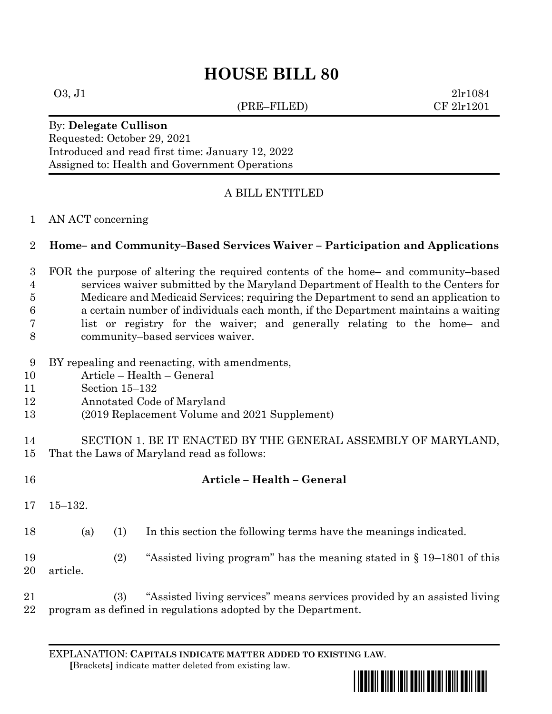# **HOUSE BILL 80**

(PRE–FILED) CF 2lr1201

 $03, J1$  2lr1084

#### By: **Delegate Cullison** Requested: October 29, 2021 Introduced and read first time: January 12, 2022 Assigned to: Health and Government Operations

# A BILL ENTITLED

#### AN ACT concerning

## **Home– and Community–Based Services Waiver – Participation and Applications**

 FOR the purpose of altering the required contents of the home– and community–based services waiver submitted by the Maryland Department of Health to the Centers for Medicare and Medicaid Services; requiring the Department to send an application to a certain number of individuals each month, if the Department maintains a waiting list or registry for the waiver; and generally relating to the home– and community–based services waiver.

#### BY repealing and reenacting, with amendments,

- Article Health General
- Section 15–132
- Annotated Code of Maryland
- (2019 Replacement Volume and 2021 Supplement)
- SECTION 1. BE IT ENACTED BY THE GENERAL ASSEMBLY OF MARYLAND, That the Laws of Maryland read as follows:

| 16       |             |     | Article – Health – General                                                                                                               |
|----------|-------------|-----|------------------------------------------------------------------------------------------------------------------------------------------|
| 17       | $15 - 132.$ |     |                                                                                                                                          |
| 18       | (a)         | (1) | In this section the following terms have the meanings indicated.                                                                         |
| 19<br>20 | article.    | (2) | "Assisted living program" has the meaning stated in $\S 19-1801$ of this                                                                 |
| 21<br>22 |             | (3) | "Assisted living services" means services provided by an assisted living<br>program as defined in regulations adopted by the Department. |

EXPLANATION: **CAPITALS INDICATE MATTER ADDED TO EXISTING LAW**.

 **[**Brackets**]** indicate matter deleted from existing law.

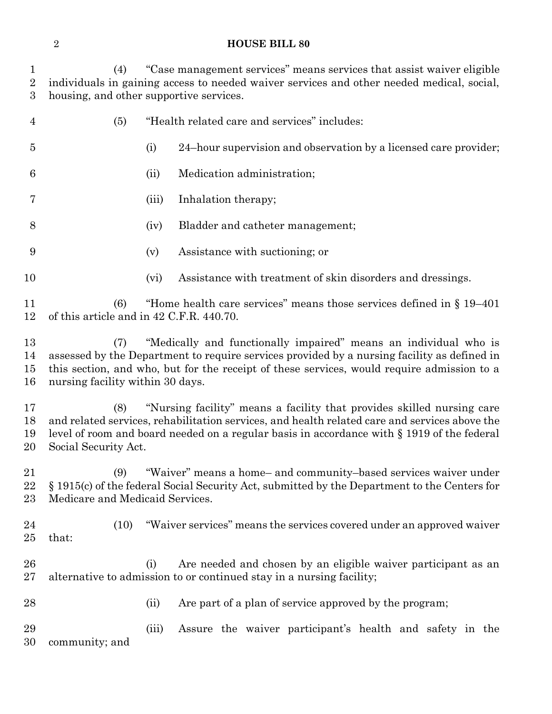#### **HOUSE BILL 80**

 (4) "Case management services" means services that assist waiver eligible individuals in gaining access to needed waiver services and other needed medical, social, housing, and other supportive services.

| 4                        | (5)                                                                                                                                                                                                                                                                                                      |       | "Health related care and services" includes:                                                                                          |  |  |  |  |
|--------------------------|----------------------------------------------------------------------------------------------------------------------------------------------------------------------------------------------------------------------------------------------------------------------------------------------------------|-------|---------------------------------------------------------------------------------------------------------------------------------------|--|--|--|--|
| 5                        |                                                                                                                                                                                                                                                                                                          | (i)   | 24-hour supervision and observation by a licensed care provider;                                                                      |  |  |  |  |
| 6                        |                                                                                                                                                                                                                                                                                                          | (ii)  | Medication administration;                                                                                                            |  |  |  |  |
| 7                        |                                                                                                                                                                                                                                                                                                          | (iii) | Inhalation therapy;                                                                                                                   |  |  |  |  |
| 8                        |                                                                                                                                                                                                                                                                                                          | (iv)  | Bladder and catheter management;                                                                                                      |  |  |  |  |
| 9                        |                                                                                                                                                                                                                                                                                                          | (v)   | Assistance with suctioning; or                                                                                                        |  |  |  |  |
| 10                       |                                                                                                                                                                                                                                                                                                          | (vi)  | Assistance with treatment of skin disorders and dressings.                                                                            |  |  |  |  |
| 11<br>12                 | "Home health care services" means those services defined in $\S 19-401$<br>(6)<br>of this article and in 42 C.F.R. 440.70.                                                                                                                                                                               |       |                                                                                                                                       |  |  |  |  |
| 13<br>14<br>15<br>16     | "Medically and functionally impaired" means an individual who is<br>(7)<br>assessed by the Department to require services provided by a nursing facility as defined in<br>this section, and who, but for the receipt of these services, would require admission to a<br>nursing facility within 30 days. |       |                                                                                                                                       |  |  |  |  |
| 17<br>18<br>19<br>$20\,$ | "Nursing facility" means a facility that provides skilled nursing care<br>(8)<br>and related services, rehabilitation services, and health related care and services above the<br>level of room and board needed on a regular basis in accordance with § 1919 of the federal<br>Social Security Act.     |       |                                                                                                                                       |  |  |  |  |
| 21<br>22<br>23           | "Waiver" means a home- and community-based services waiver under<br>(9)<br>§ 1915(c) of the federal Social Security Act, submitted by the Department to the Centers for<br>Medicare and Medicaid Services.                                                                                               |       |                                                                                                                                       |  |  |  |  |
| 24<br>25                 | (10)<br>that:                                                                                                                                                                                                                                                                                            |       | "Waiver services" means the services covered under an approved waiver                                                                 |  |  |  |  |
| 26<br>$27\,$             |                                                                                                                                                                                                                                                                                                          | (i)   | Are needed and chosen by an eligible waiver participant as an<br>alternative to admission to or continued stay in a nursing facility; |  |  |  |  |
| 28                       |                                                                                                                                                                                                                                                                                                          | (ii)  | Are part of a plan of service approved by the program;                                                                                |  |  |  |  |
| 29<br>30                 | community; and                                                                                                                                                                                                                                                                                           | (iii) | Assure the waiver participant's health and safety in the                                                                              |  |  |  |  |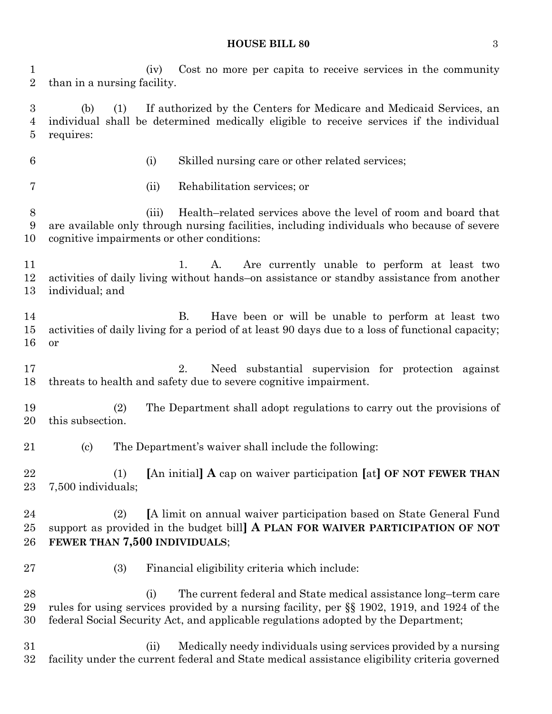#### **HOUSE BILL 80** 3

 (iv) Cost no more per capita to receive services in the community than in a nursing facility.

 (b) (1) If authorized by the Centers for Medicare and Medicaid Services, an individual shall be determined medically eligible to receive services if the individual requires:

- 
- (i) Skilled nursing care or other related services;
- 
- (ii) Rehabilitation services; or

 (iii) Health–related services above the level of room and board that are available only through nursing facilities, including individuals who because of severe cognitive impairments or other conditions:

11 1. A. Are currently unable to perform at least two activities of daily living without hands–on assistance or standby assistance from another individual; and

 B. Have been or will be unable to perform at least two activities of daily living for a period of at least 90 days due to a loss of functional capacity; or

 2. Need substantial supervision for protection against threats to health and safety due to severe cognitive impairment.

 (2) The Department shall adopt regulations to carry out the provisions of this subsection.

(c) The Department's waiver shall include the following:

 (1) **[**An initial**] A** cap on waiver participation **[**at**] OF NOT FEWER THAN** 7,500 individuals;

 (2) **[**A limit on annual waiver participation based on State General Fund support as provided in the budget bill**] A PLAN FOR WAIVER PARTICIPATION OF NOT FEWER THAN 7,500 INDIVIDUALS**;

(3) Financial eligibility criteria which include:

28 (i) The current federal and State medical assistance long-term care rules for using services provided by a nursing facility, per §§ 1902, 1919, and 1924 of the federal Social Security Act, and applicable regulations adopted by the Department;

 (ii) Medically needy individuals using services provided by a nursing facility under the current federal and State medical assistance eligibility criteria governed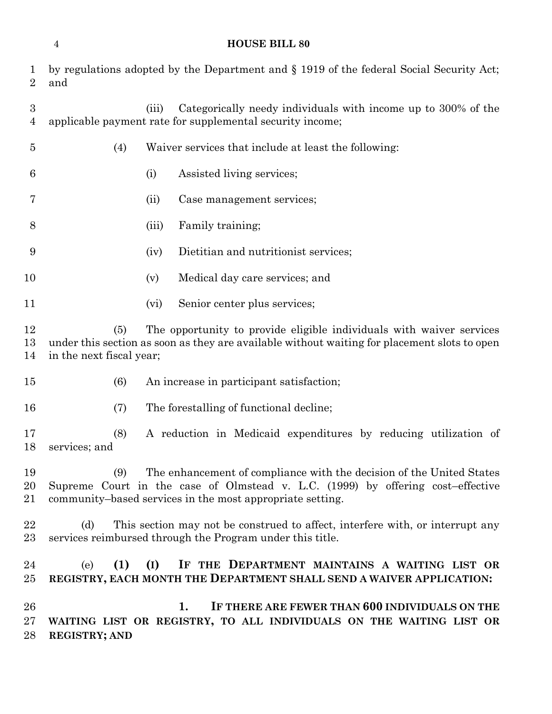| 1<br>$\overline{2}$                | by regulations adopted by the Department and § 1919 of the federal Social Security Act;<br>and                                                                                                                              |       |                                                                                                                             |  |  |  |
|------------------------------------|-----------------------------------------------------------------------------------------------------------------------------------------------------------------------------------------------------------------------------|-------|-----------------------------------------------------------------------------------------------------------------------------|--|--|--|
| $\boldsymbol{3}$<br>$\overline{4}$ |                                                                                                                                                                                                                             | (iii) | Categorically needy individuals with income up to 300% of the<br>applicable payment rate for supplemental security income;  |  |  |  |
| $\overline{5}$                     | (4)                                                                                                                                                                                                                         |       | Waiver services that include at least the following:                                                                        |  |  |  |
| 6                                  |                                                                                                                                                                                                                             | (i)   | Assisted living services;                                                                                                   |  |  |  |
| 7                                  |                                                                                                                                                                                                                             | (ii)  | Case management services;                                                                                                   |  |  |  |
| 8                                  |                                                                                                                                                                                                                             | (iii) | Family training;                                                                                                            |  |  |  |
| 9                                  |                                                                                                                                                                                                                             | (iv)  | Dietitian and nutritionist services;                                                                                        |  |  |  |
| 10                                 |                                                                                                                                                                                                                             | (v)   | Medical day care services; and                                                                                              |  |  |  |
| 11                                 |                                                                                                                                                                                                                             | (vi)  | Senior center plus services;                                                                                                |  |  |  |
| 12<br>13<br>14                     | The opportunity to provide eligible individuals with waiver services<br>(5)<br>under this section as soon as they are available without waiting for placement slots to open<br>in the next fiscal year;                     |       |                                                                                                                             |  |  |  |
| 15                                 | (6)                                                                                                                                                                                                                         |       | An increase in participant satisfaction;                                                                                    |  |  |  |
| 16                                 | (7)                                                                                                                                                                                                                         |       | The forestalling of functional decline;                                                                                     |  |  |  |
| 17<br>18                           | (8)<br>services; and                                                                                                                                                                                                        |       | A reduction in Medicaid expenditures by reducing utilization of                                                             |  |  |  |
| 19<br>20<br>21                     | The enhancement of compliance with the decision of the United States<br>(9)<br>Supreme Court in the case of Olmstead v. L.C. (1999) by offering cost-effective<br>community-based services in the most appropriate setting. |       |                                                                                                                             |  |  |  |
| 22<br>23                           | This section may not be construed to affect, interfere with, or interrupt any<br>(d)<br>services reimbursed through the Program under this title.                                                                           |       |                                                                                                                             |  |  |  |
| 24<br>$25\,$                       | (1)<br>(e)                                                                                                                                                                                                                  | (I)   | IF THE DEPARTMENT MAINTAINS A WAITING LIST OR<br>REGISTRY, EACH MONTH THE DEPARTMENT SHALL SEND A WAIVER APPLICATION:       |  |  |  |
| 26<br>$27\,$<br>28                 | <b>REGISTRY; AND</b>                                                                                                                                                                                                        |       | 1.<br>IF THERE ARE FEWER THAN 600 INDIVIDUALS ON THE<br>WAITING LIST OR REGISTRY, TO ALL INDIVIDUALS ON THE WAITING LIST OR |  |  |  |

**HOUSE BILL 80**